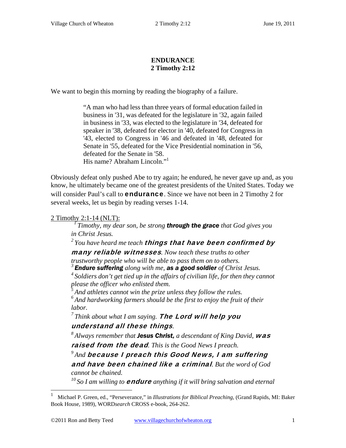## **ENDURANCE 2 Timothy 2:12**

We want to begin this morning by reading the biography of a failure.

"A man who had less than three years of formal education failed in business in '31, was defeated for the legislature in '32, again failed in business in '33, was elected to the legislature in '34, defeated for speaker in '38, defeated for elector in '40, defeated for Congress in '43, elected to Congress in '46 and defeated in '48, defeated for Senate in '55, defeated for the Vice Presidential nomination in '56, defeated for the Senate in '58. His name? Abraham Lincoln."1

Obviously defeat only pushed Abe to try again; he endured, he never gave up and, as you know, he ultimately became one of the greatest presidents of the United States. Today we will consider Paul's call to **endurance**. Since we have not been in 2 Timothy 2 for several weeks, let us begin by reading verses 1-14.

 $\overline{a}$ 

2 Timothy 2:1-14 (NLT): *1 Timothy, my dear son, be strong through the grace that God gives you in Christ Jesus.* 

<sup>2</sup> You have heard me teach **things that have been confirmed by** 

many reliable witnesses*. Now teach these truths to other* 

*trustworthy people who will be able to pass them on to others. 3 Endure suffering along with me, as a good soldier of Christ Jesus.* 

*4 Soldiers don't get tied up in the affairs of civilian life, for then they cannot please the officer who enlisted them.* 

*5 And athletes cannot win the prize unless they follow the rules.* 

*6 And hardworking farmers should be the first to enjoy the fruit of their labor.* 

<sup>7</sup> Think about what I am saying. **The Lord will help you** 

understand all these things*. 8 Always remember that Jesus Christ, a descendant of King David,* was raised from the dead*. This is the Good News I preach.* 

*9 And* because I preach this Good News, I am suffering and have been chained like a criminal*. But the word of God cannot be chained.* 

<sup>10</sup> So I am willing to **endure** anything if it will bring salvation and eternal

<sup>1</sup> Michael P. Green, ed., "Perseverance," in *Illustrations for Biblical Preaching*, (Grand Rapids, MI: Baker Book House, 1989), WORD*search* CROSS e-book, 264-262.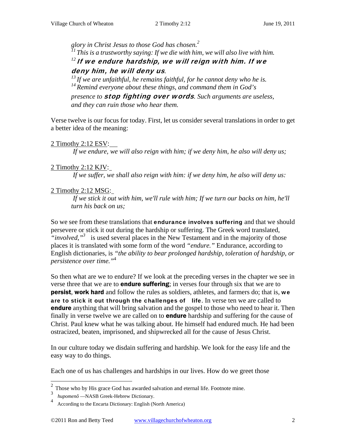glory in Christ Jesus to those God has chosen.<sup>2</sup><br><sup>11</sup> This is a trustworthy saying: If we die with him, we will also live with him. *<sup>12</sup>*If we endure hardship, we will reign with him. If we

deny him, he will deny us.<br><sup>13</sup> If we are unfaithful, he remains faithful, for he cannot deny who he is. *14 Remind everyone about these things, and command them in God's* 

*presence to* stop fighting over words*. Such arguments are useless, and they can ruin those who hear them.* 

Verse twelve is our focus for today. First, let us consider several translations in order to get a better idea of the meaning:

2 Timothy 2:12 ESV:

*If we endure, we will also reign with him; if we deny him, he also will deny us;* 

## 2 Timothy 2:12 KJV:

*If we suffer, we shall also reign with him: if we deny him, he also will deny us:* 

# 2 Timothy 2:12 MSG:

*If we stick it out with him, we'll rule with him; If we turn our backs on him, he'll turn his back on us;* 

So we see from these translations that **endurance involves suffering** and that we should persevere or stick it out during the hardship or suffering. The Greek word translated, "*involved*,"<sup>3</sup> is used several places in the New Testament and in the majority of those places it is translated with some form of the word *"endure."* Endurance, according to English dictionaries, is *"the ability to bear prolonged hardship, toleration of hardship, or persistence over time."*<sup>4</sup>

So then what are we to endure? If we look at the preceding verses in the chapter we see in verse three that we are to **endure suffering**; in verses four through six that we are to **persist, work hard** and follow the rules as soldiers, athletes, and farmers do; that is, we are to stick it out through the challenges of life. In verse ten we are called to **endure** anything that will bring salvation and the gospel to those who need to hear it. Then finally in verse twelve we are called on to **endure** hardship and suffering for the cause of Christ. Paul knew what he was talking about. He himself had endured much. He had been ostracized, beaten, imprisoned, and shipwrecked all for the cause of Jesus Christ.

In our culture today we disdain suffering and hardship. We look for the easy life and the easy way to do things.

Each one of us has challenges and hardships in our lives. How do we greet those

<sup>2</sup> Those who by His grace God has awarded salvation and eternal life. Footnote mine.

<sup>3</sup> *hupomenô* —NASB Greek-Hebrew Dictionary.

<sup>4</sup> According to the Encarta Dictionary: English (North America)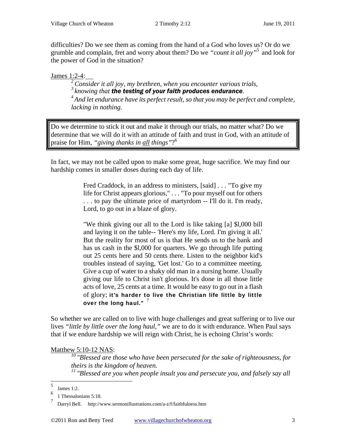difficulties? Do we see them as coming from the hand of a God who loves us? Or do we grumble and complain, fret and worry about them? Do we *"count it all joy"*<sup>5</sup> and look for the power of God in the situation?

 $\frac{\text{James } 1:2-4:}{2}$ Consider it all joy, my brethren, when you encounter various trials,  $\frac{3}{3}$  knowing that **the testing of your faith produces endurance**.<br> $\frac{4}{3}$  And let endurance have its perfect result, so that you may be perfect and complete, *lacking in nothing.* 

Do we determine to stick it out and make it through our trials, no matter what? Do we determine that we will do it with an attitude of faith and trust in God, with an attitude of praise for Him, *"giving thanks in all things"*? 6

In fact, we may not be called upon to make some great, huge sacrifice. We may find our hardship comes in smaller doses during each day of life.

> Fred Craddock, in an address to ministers, [said] . . . "To give my life for Christ appears glorious," . . . "To pour myself out for others . . . to pay the ultimate price of martyrdom -- I'll do it. I'm ready, Lord, to go out in a blaze of glory.

> "We think giving our all to the Lord is like taking [a] \$l,000 bill and laying it on the table-- 'Here's my life, Lord. I'm giving it all.' But the reality for most of us is that He sends us to the bank and has us cash in the \$l,000 for quarters. We go through life putting out 25 cents here and 50 cents there. Listen to the neighbor kid's troubles instead of saying, 'Get lost.' Go to a committee meeting. Give a cup of water to a shaky old man in a nursing home. Usually giving our life to Christ isn't glorious. It's done in all those little acts of love, 25 cents at a time. It would be easy to go out in a flash of glory; it's harder to live the Christian life little by little over the long haul."  $7$

So whether we are called on to live with huge challenges and great suffering or to live our lives *"little by little over the long haul,"* we are to do it with endurance. When Paul says that if we endure hardship we will reign with Christ, he is echoing Christ's words:

Matthew 5:10-12 NAS:*10 "Blessed are those who have been persecuted for the sake of righteousness, for theirs is the kingdom of heaven. 11 "Blessed are you when people insult you and persecute you, and falsely say all* 

<sup>5</sup> James 1:2.

 $6$  1 Thessalonians 5:18.

<sup>7</sup> Darryl Bell. http://www.sermonillustrations.com/a-z/f/faithfulness.htm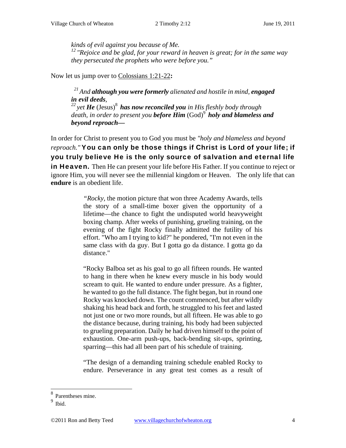*kinds of evil against you because of Me. 12 "Rejoice and be glad, for your reward in heaven is great; for in the same way they persecuted the prophets who were before you."* 

Now let us jump over to Colossians 1:21-22**:** 

*21 And although you were formerly alienated and hostile in mind, engaged in evil deeds, 22 yet He* (Jesus)8  *has now reconciled you in His fleshly body through*  death, in order to present you **before Him** (God)<sup>9</sup> holy and blameless and *beyond reproach—* 

In order for Christ to present you to God you must be *"holy and blameless and beyond reproach."* You can only be those things if Christ is Lord of your life; if you truly believe He is the only source of salvation and eternal life in Heaven. Then He can present your life before His Father. If you continue to reject or ignore Him, you will never see the millennial kingdom or Heaven. The only life that can **endure** is an obedient life.

> *"Rocky,* the motion picture that won three Academy Awards, tells the story of a small-time boxer given the opportunity of a lifetime—the chance to fight the undisputed world heavyweight boxing champ. After weeks of punishing, grueling training, on the evening of the fight Rocky finally admitted the futility of his effort. "Who am I trying to kid?" he pondered, "I'm not even in the same class with da guy. But I gotta go da distance. I gotta go da distance."

> "Rocky Balboa set as his goal to go all fifteen rounds. He wanted to hang in there when he knew every muscle in his body would scream to quit. He wanted to endure under pressure. As a fighter, he wanted to go the full distance. The fight began, but in round one Rocky was knocked down. The count commenced, but after wildly shaking his head back and forth, he struggled to his feet and lasted not just one or two more rounds, but all fifteen. He was able to go the distance because, during training, his body had been subjected to grueling preparation. Daily he had driven himself to the point of exhaustion. One-arm push-ups, back-bending sit-ups, sprinting, sparring—this had all been part of his schedule of training.

> "The design of a demanding training schedule enabled Rocky to endure. Perseverance in any great test comes as a result of

<sup>8</sup> Parentheses mine.

<sup>&</sup>lt;sup>9</sup> Ibid.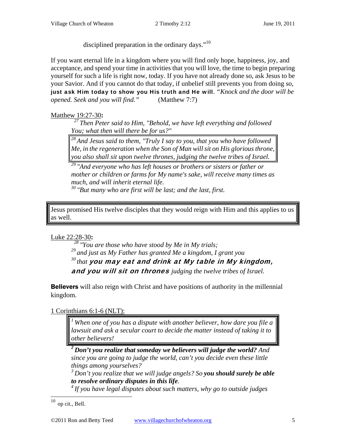disciplined preparation in the ordinary days."<sup>10</sup>

If you want eternal life in a kingdom where you will find only hope, happiness, joy, and acceptance, and spend your time in activities that you will love, the time to begin preparing yourself for such a life is right now, today. If you have not already done so, ask Jesus to be your Savior. And if you cannot do that today, if unbelief still prevents you from doing so, just ask Him today to show you His truth and He will. *"Knock and the door will be opened. Seek and you will find."* (Matthew 7:7)

## Matthew 19:27-30**:**

*27 Then Peter said to Him, "Behold, we have left everything and followed You; what then will there be for us?"* 

*28 And Jesus said to them, "Truly I say to you, that you who have followed Me, in the regeneration when the Son of Man will sit on His glorious throne, you also shall sit upon twelve thrones, judging the twelve tribes of Israel.* 

*29 "And everyone who has left houses or brothers or sisters or father or mother or children or farms for My name's sake, will receive many times as much, and will inherit eternal life.* 

*30 "But many who are first will be last; and the last, first.* 

Jesus promised His twelve disciples that they would reign with Him and this applies to us as well.

Luke 22:28-30**:** 

*28 "You are those who have stood by Me in My trials;* 

*29 and just as My Father has granted Me a kingdom, I grant you* 

*30 that* you may eat and drink at My table in My kingdom,

and you will sit on thrones *judging the twelve tribes of Israel.* 

**Believers** will also reign with Christ and have positions of authority in the millennial kingdom.

1 Corinthians 6:1-6 (NLT):

*1 When one of you has a dispute with another believer, how dare you file a lawsuit and ask a secular court to decide the matter instead of taking it to other believers!* 

*2 Don't you realize that someday we believers will judge the world? And since you are going to judge the world, can't you decide even these little things among yourselves?* 

*3 Don't you realize that we will judge angels? So you should surely be able to resolve ordinary disputes in this life. 4 If you have legal disputes about such matters, why go to outside judges* 

 $10$  op cit., Bell.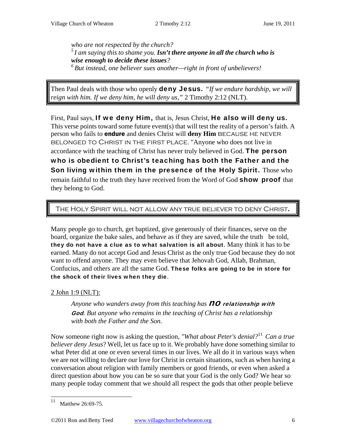*who are not respected by the church? 5 I am saying this to shame you. Isn't there anyone in all the church who is wise enough to decide these issues? 6 But instead, one believer sues another—right in front of unbelievers!* 

Then Paul deals with those who openly deny Jesus. *"If we endure hardship, we will reign with him. If we deny him, he will deny us,"* 2 Timothy 2:12 (NLT).

First, Paul says, If we deny Him, that is, Jesus Christ, He also will deny us. This verse points toward some future event(s) that will test the reality of a person's faith. A person who fails to **endure** and denies Christ will **deny Him** BECAUSE HE NEVER belonged to Christ in the first place. "Anyone who does not live in accordance with the teaching of Christ has never truly believed in God. The person who is obedient to Christ's teaching has both the Father and the Son living within them in the presence of the Holy Spirit. Those who remain faithful to the truth they have received from the Word of God **show proof** that they belong to God.

## The Holy Spirit will not allow any true believer to deny Christ.

Many people go to church, get baptized, give generously of their finances, serve on the board, organize the bake sales, and behave as if they are saved, while the truth be told, they do not have a clue as to what salvation is all about. Many think it has to be earned. Many do not accept God and Jesus Christ as the only true God because they do not want to offend anyone. They may even believe that Jehovah God, Allah, Brahman, Confucius, and others are all the same God. These folks are going to be in store for the shock of their lives when they die.

#### 2 John 1:9 (NLT):

Anyone who wanders away from this teaching has **NO relationship with** God*. But anyone who remains in the teaching of Christ has a relationship with both the Father and the Son.* 

Now someone right now is asking the question, *"What about Peter's denial?*<sup>11</sup> *Can a true believer deny Jesus*? Well, let us face up to it. We probably have done something similar to what Peter did at one or even several times in our lives. We all do it in various ways when we are not willing to declare our love for Christ in certain situations, such as when having a conversation about religion with family members or good friends, or even when asked a direct question about how you can be so sure that your God is the only God? We hear so many people today comment that we should all respect the gods that other people believe

<sup>11</sup> Matthew 26:69-75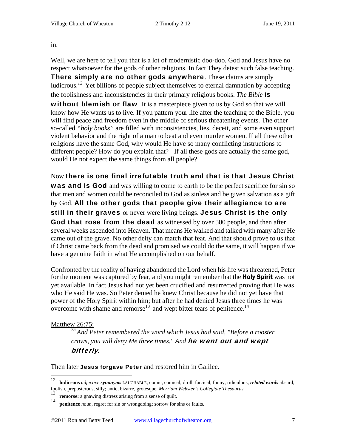in.

Well, we are here to tell you that is a lot of modernistic doo-doo. God and Jesus have no respect whatsoever for the gods of other religions. In fact They detest such false teaching. There simply are no other gods anywhere. These claims are simply ludicrous.*<sup>12</sup>* Yet billions of people subject themselves to eternal damnation by accepting the foolishness and inconsistencies in their primary religious books. *The Bible* is **without blemish or flaw**. It is a masterpiece given to us by God so that we will know how He wants us to live. If you pattern your life after the teaching of the Bible, you will find peace and freedom even in the middle of serious threatening events. The other so-called *"holy books"* are filled with inconsistencies, lies, deceit, and some even support violent behavior and the right of a man to beat and even murder women. If all these other

religions have the same God, why would He have so many conflicting instructions to different people? How do you explain that? If all these gods are actually the same god, would He not expect the same things from all people?

Now there is one final irrefutable truth and that is that Jesus Christ **was and is God** and was willing to come to earth to be the perfect sacrifice for sin so that men and women could be reconciled to God as sinless and be given salvation as a gift by God. All the other gods that people give their allegiance to are still in their graves or never were living beings. Jesus Christ is the only God that rose from the dead as witnessed by over 500 people, and then after several weeks ascended into Heaven. That means He walked and talked with many after He came out of the grave. No other deity can match that feat. And that should prove to us that if Christ came back from the dead and promised we could do the same, it will happen if we have a genuine faith in what He accomplished on our behalf.

Confronted by the reality of having abandoned the Lord when his life was threatened, Peter for the moment was captured by fear, and you might remember that the **Holy Spirit** was not yet available. In fact Jesus had not yet been crucified and resurrected proving that He was who He said He was. So Peter denied he knew Christ because he did not yet have that power of the Holy Spirit within him; but after he had denied Jesus three times he was overcome with shame and remorse<sup>13</sup> and wept bitter tears of penitence.<sup>14</sup>

#### Matthew 26:75:

*75 And Peter remembered the word which Jesus had said, "Before a rooster crows, you will deny Me three times." And* he went out and wept bitterly*.* 

Then later Jesus forgave Peter and restored him in Galilee.

<sup>12</sup> 12 **ludicrous** *adjective synonyms* LAUGHABLE, comic, comical, droll, farcical, funny, ridiculous; *related words* absurd, foolish, preposterous, silly; antic, bizarre, grotesque. *Merriam Webster's Collegiate Thesaurus.*

<sup>&</sup>lt;sup>13</sup> **remorse:** a gnawing distress arising from a sense of guilt.

**penitence** *noun*, regret for sin or wrongdoing; sorrow for sins or faults.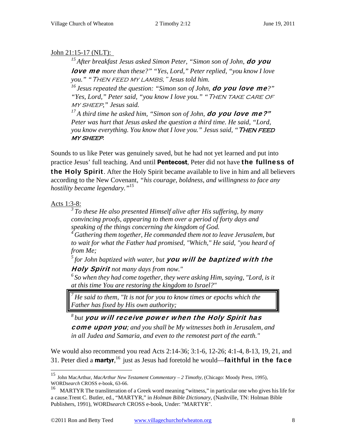# John 21:15-17 (NLT):

<sup>15</sup> After breakfast Jesus asked Simon Peter, "Simon son of John, **do you** love me *more than these?" "Yes, Lord," Peter replied, "you know I love you." "*Then feed my lambs," *Jesus told him.* 

*16 Jesus repeated the question: "Simon son of John,* do you love me*?"*  "Yes, Lord," Peter said, "you know I love you." "THEN TAKE CARE OF my sheep*," Jesus said.* 

<sup>17</sup> A third time he asked him, "Simon son of John, **do you love me?"** *Peter was hurt that Jesus asked the question a third time. He said, "Lord, you know everything. You know that I love you." Jesus said, "THEN FEED* my sheep*.* 

Sounds to us like Peter was genuinely saved, but he had not yet learned and put into practice Jesus' full teaching. And until **Pentecost**, Peter did not have **the fullness of the Holy Spirit.** After the Holy Spirit became available to live in him and all believers according to the New Covenant, *"his courage, boldness, and willingness to face any hostility became legendary."15*

# Acts 1:3-8:

 $\overline{a}$ 

*3 To these He also presented Himself alive after His suffering, by many convincing proofs, appearing to them over a period of forty days and speaking of the things concerning the kingdom of God.* 

*4 Gathering them together, He commanded them not to leave Jerusalem, but*  to wait for what the Father had promised, "Which," He said, "you heard of *from Me;* 

*5 for John baptized with water, but* you will be baptized with the

Holy Spirit *not many days from now."* 

*6 So when they had come together, they were asking Him, saying, "Lord, is it at this time You are restoring the kingdom to Israel?"* 

*7 He said to them, "It is not for you to know times or epochs which the Father has fixed by His own authority;* 

*8 but* you will receive power when the Holy Spirit has come upon you*; and you shall be My witnesses both in Jerusalem, and in all Judea and Samaria, and even to the remotest part of the earth."* 

We would also recommend you read Acts 2:14-36; 3:1-6, 12-26; 4:1-4, 8-13, 19, 21, and 31. Peter died a **martyr**,<sup>16</sup> just as Jesus had foretold he would—**faithful in the face** 

<sup>15</sup> John MacArthur, *MacArthur New Testament Commentary – 2 Timothy*, (Chicago: Moody Press, 1995), WORD*search* CROSS e-book, 63-66.

<sup>16</sup> MARTYR The transliteration of a Greek word meaning "witness," in particular one who gives his life for a cause.Trent C. Butler, ed., "MARTYR," in *Holman Bible Dictionary*, (Nashville, TN: Holman Bible Publishers, 1991), WORD*search* CROSS e-book, Under: "MARTYR".